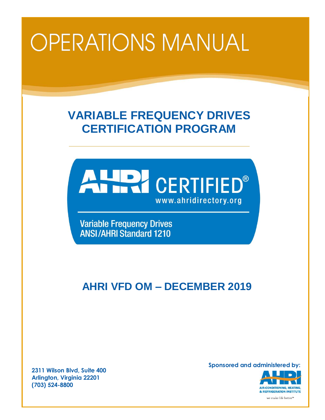# Ī

# **VARIABLE FREQUENCY DRIVES CERTIFICATION PROGRAM**



**Variable Frequency Drives ANSI/AHRI Standard 1210** 

# **AHRI VFD OM – DECEMBER 2019**

**2311 Wilson Blvd, Suite 400 Arlington, Virginia 22201 (703) 524-8800**

**Sponsored and administered by:**



we make life better<sup>n</sup>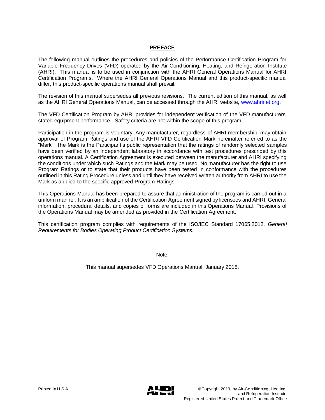#### **PREFACE**

The following manual outlines the procedures and policies of the Performance Certification Program for Variable Frequency Drives (VFD) operated by the Air-Conditioning, Heating, and Refrigeration Institute (AHRI). This manual is to be used in conjunction with the AHRI General Operations Manual for AHRI Certification Programs. Where the AHRI General Operations Manual and this product-specific manual differ, this product-specific operations manual shall prevail.

The revision of this manual supersedes all previous revisions. The current edition of this manual, as well as the AHRI General Operations Manual, can be accessed through the AHRI website, [www.ahrinet.org.](http://www.ahrinet.org/)

The VFD Certification Program by AHRI provides for independent verification of the VFD manufacturers' stated equipment performance. Safety criteria are not within the scope of this program.

Participation in the program is voluntary. Any manufacturer, regardless of AHRI membership, may obtain approval of Program Ratings and use of the AHRI VFD Certification Mark hereinafter referred to as the "Mark". The Mark is the Participant's public representation that the ratings of randomly selected samples have been verified by an independent laboratory in accordance with test procedures prescribed by this operations manual. A Certification Agreement is executed between the manufacturer and AHRI specifying the conditions under which such Ratings and the Mark may be used. No manufacturer has the right to use Program Ratings or to state that their products have been tested in conformance with the procedures outlined in this Rating Procedure unless and until they have received written authority from AHRI to use the Mark as applied to the specific approved Program Ratings.

This Operations Manual has been prepared to assure that administration of the program is carried out in a uniform manner. It is an amplification of the Certification Agreement signed by licensees and AHRI. General information, procedural details, and copies of forms are included in this Operations Manual. Provisions of the Operations Manual may be amended as provided in the Certification Agreement.

This certification program complies with requirements of the ISO/IEC Standard 17065:2012, *General Requirements for Bodies Operating Product Certification Systems.* 

Note:

This manual supersedes VFD Operations Manual, January 2018.

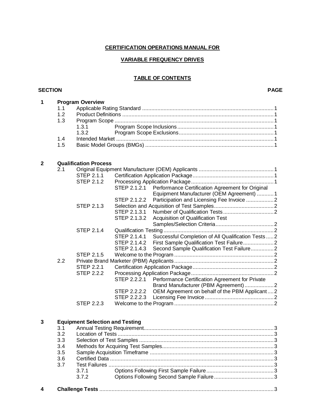## **CERTIFICATION OPERATIONS MANUAL FOR**

#### **VARIABLE FREQUENCY DRIVES**

## **TABLE OF CONTENTS**

#### **SECTION PAGE**

| 1            |     | <b>Program Overview</b>                |                                                                     |
|--------------|-----|----------------------------------------|---------------------------------------------------------------------|
|              | 1.1 |                                        |                                                                     |
|              | 1.2 |                                        |                                                                     |
|              | 1.3 |                                        |                                                                     |
|              |     | 1.3.1                                  |                                                                     |
|              |     | 1.3.2                                  |                                                                     |
|              | 1.4 |                                        |                                                                     |
|              | 1.5 |                                        |                                                                     |
|              |     |                                        |                                                                     |
|              |     |                                        |                                                                     |
| $\mathbf{2}$ |     | <b>Qualification Process</b>           |                                                                     |
|              | 2.1 |                                        |                                                                     |
|              |     | STEP 2.1.1                             |                                                                     |
|              |     | STEP 2.1.2                             |                                                                     |
|              |     |                                        | Performance Certification Agreement for Original<br>STEP 2.1.2.1    |
|              |     |                                        | Equipment Manufacturer (OEM Agreement)  1                           |
|              |     |                                        | Participation and Licensing Fee Invoice 2<br>STEP 2.1.2.2           |
|              |     | <b>STEP 2.1.3</b>                      |                                                                     |
|              |     |                                        | STEP 2.1.3.1                                                        |
|              |     |                                        | STEP 2.1.3.2<br>Acquisition of Qualification Test                   |
|              |     |                                        |                                                                     |
|              |     | <b>STEP 2.1.4</b>                      |                                                                     |
|              |     |                                        | STEP 2.1.4.1<br>Successful Completion of All Qualification Tests  2 |
|              |     |                                        | STEP 2.1.4.2                                                        |
|              |     |                                        | Second Sample Qualification Test Failure2<br>STEP 2.1.4.3           |
|              |     | <b>STEP 2.1.5</b>                      |                                                                     |
|              | 2.2 |                                        |                                                                     |
|              |     | <b>STEP 2.2.1</b>                      |                                                                     |
|              |     | <b>STEP 2.2.2</b>                      |                                                                     |
|              |     |                                        | STEP 2.2.2.1<br>Performance Certification Agreement for Private     |
|              |     |                                        | Brand Manufacturer (PBM Agreement) 2                                |
|              |     |                                        | STEP 2.2.2.2 OEM Agreement on behalf of the PBM Applicant2          |
|              |     |                                        |                                                                     |
|              |     | STEP 2.2.3                             |                                                                     |
|              |     |                                        |                                                                     |
|              |     |                                        |                                                                     |
| 3            |     | <b>Equipment Selection and Testing</b> |                                                                     |
|              | 3.1 |                                        |                                                                     |
|              | 3.2 |                                        |                                                                     |
|              | 3.3 |                                        |                                                                     |
|              | 3.4 |                                        |                                                                     |
|              | 3.5 |                                        |                                                                     |
|              | 3.6 |                                        |                                                                     |
|              | 3.7 |                                        |                                                                     |
|              |     | 3.7.1                                  |                                                                     |

| 4 |  |  |  |
|---|--|--|--|
|---|--|--|--|

3.7.2 Options Following Second Sample Failure.......................................3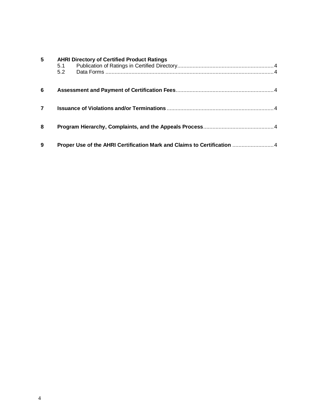| 5              | <b>AHRI Directory of Certified Product Ratings</b><br>5.1<br>5.2         |  |
|----------------|--------------------------------------------------------------------------|--|
| 6              |                                                                          |  |
| $\overline{7}$ |                                                                          |  |
| 8              |                                                                          |  |
| 9              | Proper Use of the AHRI Certification Mark and Claims to Certification  4 |  |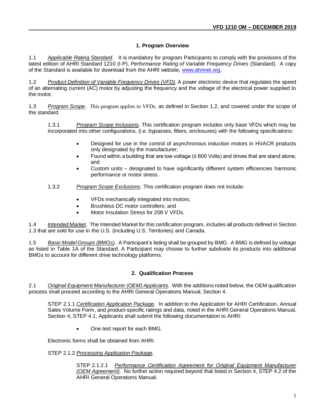#### **1. Program Overview**

1.1 *Applicable Rating Standard*. It is mandatory for program Participants to comply with the provisions of the latest edition of AHRI Standard 1210 (I-P), *Performance Rating of Variable Frequency Drives* (Standard). A copy of the Standard is available for download from the AHRI website, [www.ahrinet.org.](http://www.ahrinet.org/)

1.2 *Product Definition of Variable Frequency Drives (VFD).* A power electronic device that regulates the speed of an alternating current (AC) motor by adjusting the frequency and the voltage of the electrical power supplied to the motor.

1.3 *Program Scope*. This program applies to VFDs, as defined in Section 1.2, and covered under the scope of the standard.

1.3.1 *Program Scope Inclusions*. This certification program includes only base VFDs which may be incorporated into other configurations, (i.e. bypasses, filters, enclosures) with the following specifications:

- Designed for use in the control of asynchronous induction motors in HVACR products only designated by the manufacturer;
- Found within a building that are low voltage (≤ 600 Volts) and drives that are stand alone; and
- Custom units designated to have significantly different system efficiencies harmonic performance or motor stress.
- 1.3.2 *Program Scope Exclusions*. This certification program does not include:
	- VFDs mechanically integrated into motors;
	- Brushless DC motor controllers; and
	- Motor Insulation Stress for 208 V VFDs.

1.4 *Intended Market*. The Intended Market for this certification program, includes all products defined in Section 1.3 that are sold for use in the U.S. (including U.S. Territories) and Canada.

1.5 *Basic Model Groups (BMGs)*. A Participant's listing shall be grouped by BMG. A BMG is defined by voltage as listed in Table 1A of the Standard. A Participant may choose to further subdivide its products into additional BMGs to account for different drive technology platforms.

#### **2. Qualification Process**

2.1 *Original Equipment Manufacturer (OEM) Applicants*. With the additions noted below, the OEM qualification process shall proceed according to the AHRI General Operations Manual, Section 4.

STEP 2.1.1 *Certification Application Package*. In addition to the Application for AHRI Certification, Annual Sales Volume Form, and product-specific ratings and data, noted in the AHRI General Operations Manual, Section 4, STEP 4.1, Applicants shall submit the following documentation to AHRI:

• One test report for each BMG.

Electronic forms shall be obtained from AHRI.

#### STEP 2.1.2 *Processing Application Package*.

STEP 2.1.2.1 *Performance Certification Agreement for Original Equipment Manufacturer (OEM Agreement)*. No further action required beyond that listed in Section 4, STEP 4.2 of the AHRI General Operations Manual.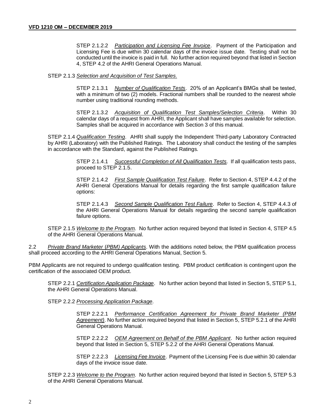STEP 2.1.2.2 *Participation and Licensing Fee Invoice*. Payment of the Participation and Licensing Fee is due within 30 calendar days of the invoice issue date. Testing shall not be conducted until the invoice is paid in full. No further action required beyond that listed in Section 4, STEP 4.2 of the AHRI General Operations Manual.

#### STEP 2.1.3 *Selection and Acquisition of Test Samples*.

STEP 2.1.3.1 *Number of Qualification Tests*. 20% of an Applicant's BMGs shall be tested, with a minimum of two (2) models. Fractional numbers shall be rounded to the nearest whole number using traditional rounding methods.

STEP 2.1.3.2 *Acquisition of Qualification Test Samples/Selection Criteria*. Within 30 calendar days of a request from AHRI, the Applicant shall have samples available for selection. Samples shall be acquired in accordance with Section 3 of this manual.

STEP 2.1.4 *Qualification Testing*. AHRI shall supply the Independent Third-party Laboratory Contracted by AHRI (Laboratory) with the Published Ratings. The Laboratory shall conduct the testing of the samples in accordance with the Standard, against the Published Ratings.

> STEP 2.1.4.1 *Successful Completion of All Qualification Tests.* If all qualification tests pass, proceed to STEP 2.1.5.

> STEP 2.1.4.2 *First Sample Qualification Test Failure*. Refer to Section 4, STEP 4.4.2 of the AHRI General Operations Manual for details regarding the first sample qualification failure options:

> STEP 2.1.4.3 *Second Sample Qualification Test Failure*. Refer to Section 4, STEP 4.4.3 of the AHRI General Operations Manual for details regarding the second sample qualification failure options.

STEP 2.1.5 *Welcome to the Program*. No further action required beyond that listed in Section 4, STEP 4.5 of the AHRI General Operations Manual.

2.2 *Private Brand Marketer* (*PBM) Applicants*. With the additions noted below, the PBM qualification process shall proceed according to the AHRI General Operations Manual, Section 5.

PBM Applicants are not required to undergo qualification testing. PBM product certification is contingent upon the certification of the associated OEM product.

STEP 2.2.1 *Certification Application Package*. No further action beyond that listed in Section 5, STEP 5.1, the AHRI General Operations Manual.

STEP 2.2.2 *Processing Application Package*.

STEP 2.2.2.1 *Performance Certification Agreement for Private Brand Marketer (PBM Agreement)*. No further action required beyond that listed in Section 5, STEP 5.2.1 of the AHRI General Operations Manual.

STEP 2.2.2.2 *OEM Agreement on Behalf of the PBM Applicant*. No further action required beyond that listed in Section 5, STEP 5.2.2 of the AHRI General Operations Manual.

STEP 2.2.2.3 *Licensing Fee Invoice*. Payment of the Licensing Fee is due within 30 calendar days of the invoice issue date.

STEP 2.2.3 *Welcome to the Program*. No further action required beyond that listed in Section 5, STEP 5.3 of the AHRI General Operations Manual.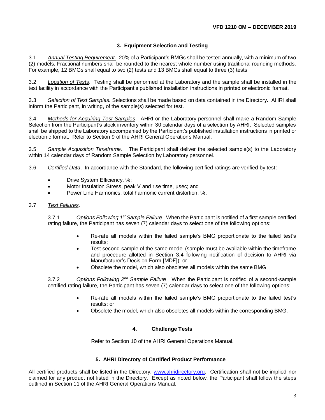### **3. Equipment Selection and Testing**

3.1 *Annual Testing Requirement.* 20% of a Participant's BMGs shall be tested annually, with a minimum of two (2) models. Fractional numbers shall be rounded to the nearest whole number using traditional rounding methods. For example, 12 BMGs shall equal to two (2) tests and 13 BMGs shall equal to three (3) tests.

3.2 *Location of Tests*. Testing shall be performed at the Laboratory and the sample shall be installed in the test facility in accordance with the Participant's published installation instructions in printed or electronic format.

3.3 *Selection of Test Samples.* Selections shall be made based on data contained in the Directory. AHRI shall inform the Participant, in writing, of the sample(s) selected for test.

3.4 *Methods for Acquiring Test Samples*. AHRI or the Laboratory personnel shall make a Random Sample Selection from the Participant's stock inventory within 30 calendar days of a selection by AHRI. Selected samples shall be shipped to the Laboratory accompanied by the Participant's published installation instructions in printed or electronic format. Refer to Section 9 of the AHRI General Operations Manual.

3.5 *Sample Acquisition Timeframe*. The Participant shall deliver the selected sample(s) to the Laboratory within 14 calendar days of Random Sample Selection by Laboratory personnel.

3.6 *Certified Data*. In accordance with the Standard, the following certified ratings are verified by test:

- Drive System Efficiency, %;
- Motor Insulation Stress, peak V and rise time, usec; and
- Power Line Harmonics, total harmonic current distortion, %.

#### 3.7 *Test Failures*.

3.7.1 *Options Following 1st Sample Failure.* When the Participant is notified of a first sample certified rating failure, the Participant has seven (7) calendar days to select one of the following options:

- Re-rate all models within the failed sample's BMG proportionate to the failed test's results;
- Test second sample of the same model (sample must be available within the timeframe and procedure allotted in Section 3.4 following notification of decision to AHRI via Manufacturer's Decision Form [MDF]); or
- Obsolete the model, which also obsoletes all models within the same BMG.

3.7.2 *Options Following 2nd Sample Failure*. When the Participant is notified of a second-sample certified rating failure, the Participant has seven (7) calendar days to select one of the following options:

- Re-rate all models within the failed sample's BMG proportionate to the failed test's results; or
- Obsolete the model, which also obsoletes all models within the corresponding BMG.

#### **4. Challenge Tests**

Refer to Section 10 of the AHRI General Operations Manual.

#### **5. AHRI Directory of Certified Product Performance**

All certified products shall be listed in the Directory, [www.ahridirectory.org.](http://www.ahridirectory.org/) Certification shall not be implied nor claimed for any product not listed in the Directory. Except as noted below, the Participant shall follow the steps outlined in Section 11 of the AHRI General Operations Manual.